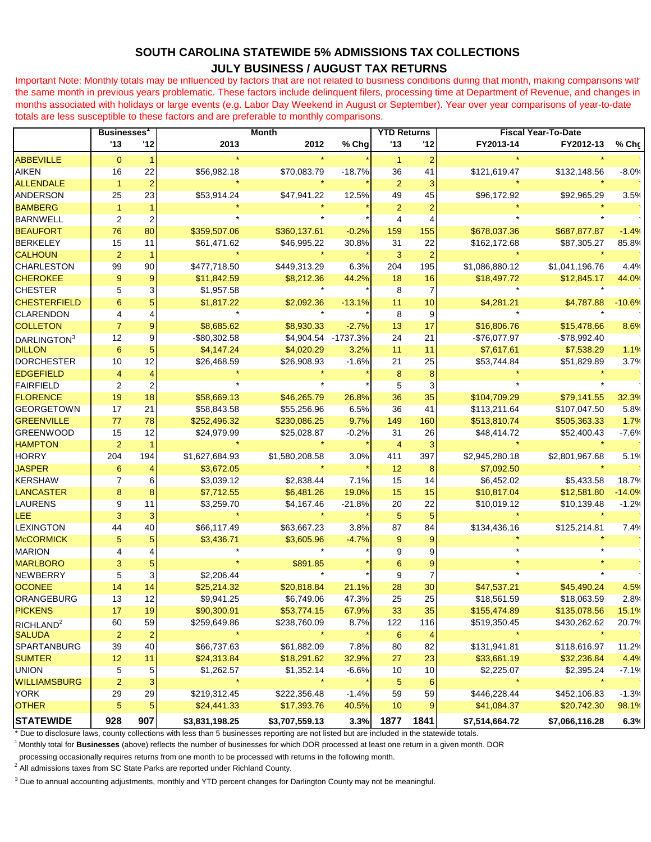## **SOUTH CAROLINA STATEWIDE 5% ADMISSIONS TAX COLLECTIONS JULY BUSINESS / AUGUST TAX RETURNS**

Important Note: Monthly totals may be influenced by factors that are not related to business conditions during that month, making comparisons with the same month in previous years problematic. These factors include delinquent filers, processing time at Department of Revenue, and changes in months associated with holidays or large events (e.g. Labor Day Weekend in August or September). Year over year comparisons of year-to-date totals are less susceptible to these factors and are preferable to monthly comparisons.

|                                        | <b>Businesses</b>   |                         | <b>Month</b>   |                |          | <b>YTD Returns</b> |                | <b>Fiscal Year-To-Date</b> |                       |          |
|----------------------------------------|---------------------|-------------------------|----------------|----------------|----------|--------------------|----------------|----------------------------|-----------------------|----------|
|                                        | '13                 | 12                      | 2013           | 2012           | % Chg    | 13                 | 112            | FY2013-14                  | FY2012-13             | % Chç    |
| <b>ABBEVILLE</b>                       | $\mathbf{0}$        |                         |                |                |          | -1                 |                |                            |                       |          |
| <b>AIKEN</b>                           | 16                  | 22                      | \$56,982.18    | \$70,083.79    | $-18.7%$ | 36                 | 41             | \$121,619.47               | \$132,148.56          | $-8.0%$  |
| <b>ALLENDALE</b>                       | $\mathbf{1}$        |                         |                |                |          | $\overline{2}$     |                |                            |                       |          |
| <b>ANDERSON</b>                        | 25                  | 23                      | \$53,914.24    | \$47,941.22    | 12.5%    | 49                 | 45             | \$96,172.92                | \$92,965.29           | 3.5%     |
| <b>BAMBERG</b>                         | $\mathbf{1}$        |                         |                |                |          | $\overline{2}$     |                |                            |                       |          |
| <b>BARNWELL</b>                        | 2                   | $\overline{\mathbf{c}}$ |                |                |          | $\overline{4}$     |                |                            |                       |          |
| <b>BEAUFORT</b>                        | 76                  | 80                      | \$359,507.06   | \$360,137.61   | $-0.2%$  | 159                | 155            | \$678,037.36               | \$687,877.87          | $-1.4%$  |
| <b>BERKELEY</b>                        | 15                  | 11                      | \$61,471.62    | \$46,995.22    | 30.8%    | 31                 | 22             | \$162,172.68               | \$87,305.27           | 85.8%    |
| <b>CALHOUN</b>                         | $\overline{2}$      |                         |                |                |          | 3                  |                |                            |                       |          |
| <b>CHARLESTON</b>                      | 99                  | 90                      | \$477,718.50   | \$449,313.29   | 6.3%     | 204                | 195            | \$1,086,880.12             | \$1,041,196.76        | 4.4%     |
| <b>CHEROKEE</b>                        | 9                   | 9                       | \$11,842.59    | \$8,212.36     | 44.2%    | 18                 | 16             | \$18,497.72                | \$12,845.17           | 44.0%    |
| <b>CHESTER</b>                         | 5                   | 3                       | \$1,957.58     |                |          | 8                  |                |                            |                       |          |
| <b>CHESTERFIELD</b>                    | 6                   |                         | \$1,817.22     | \$2,092.36     | $-13.1%$ | 11                 | 10             | \$4,281.21                 | \$4,787.88            | $-10.6%$ |
| <b>CLARENDON</b>                       | 4                   | 4                       |                |                |          | 8                  | 9              |                            |                       |          |
| <b>COLLETON</b>                        | $\overline{7}$      | $\overline{9}$          | \$8,685.62     | \$8,930.33     | $-2.7%$  | 13                 | 17             | \$16,806.76                | \$15,478.66           | 8.6%     |
| DARLINGTON <sup>3</sup>                | 12                  | 9                       | $-$80,302.58$  | \$4,904.54     | -1737.3% | 24                 | 21             | $-$76,077.97$              | $-$78,992.40$         |          |
| <b>DILLON</b>                          | 6                   | 5                       | \$4,147.24     | \$4,020.29     | 3.2%     | 11                 | 11             | \$7,617.61                 | \$7,538.29            | 1.1%     |
| <b>DORCHESTER</b>                      | 10                  | 12                      | \$26,468.59    | \$26,908.93    | $-1.6%$  | 21                 | 25             | \$53,744.84                | \$51,829.89           | 3.7%     |
| <b>EDGEFIELD</b>                       | $\overline{4}$      | 4                       |                |                |          | 8                  |                |                            |                       |          |
| <b>FAIRFIELD</b>                       | $\overline{2}$      | $\overline{2}$          |                |                |          | 5                  |                |                            |                       |          |
| <b>FLORENCE</b>                        | 19                  | 18                      | \$58,669.13    | \$46,265.79    | 26.8%    | 36                 | 35             | \$104,709.29               | \$79,141.55           | 32.3%    |
| <b>GEORGETOWN</b>                      | 17                  | 21                      | \$58,843.58    | \$55,256.96    | 6.5%     | 36                 | 41             | \$113,211.64               | \$107,047.50          | 5.8%     |
| <b>GREENVILLE</b>                      | 77                  | 78                      | \$252,496.32   | \$230,086.25   | 9.7%     | 149                | 160            | \$513,810.74               | \$505,363.33          | 1.7%     |
| <b>GREENWOOD</b>                       | 15                  | 12                      | \$24,979.99    | \$25,028.87    | $-0.2%$  | 31                 | 26             | \$48,414.72                | \$52,400.43           | $-7.6%$  |
| <b>HAMPTON</b>                         | $\overline{2}$      |                         |                |                |          | $\overline{4}$     |                |                            |                       |          |
| <b>HORRY</b>                           | 204                 | 194                     | \$1,627,684.93 | \$1,580,208.58 | 3.0%     | 411                | 397            | \$2,945,280.18             | \$2,801,967.68        | 5.1%     |
| <b>JASPER</b>                          | 6                   | 4                       | \$3,672.05     |                |          | 12                 | 8              | \$7,092.50                 |                       |          |
| <b>KERSHAW</b>                         | 7                   | 6                       | \$3,039.12     | \$2,838.44     | 7.1%     | 15                 | 14             | \$6,452.02                 | \$5,433.58            | 18.7%    |
| <b>LANCASTER</b>                       | 8                   | 8                       | \$7,712.55     | \$6,481.26     | 19.0%    | 15                 | 15             | \$10,817.04                | \$12,581.80           | $-14.0%$ |
| <b>LAURENS</b>                         | 9                   | 11                      | \$3,259.70     | \$4,167.46     | $-21.8%$ | 20                 | 22             | \$10,019.12                | \$10,139.48           | $-1.2%$  |
| LEE                                    | 3                   | 3                       |                |                |          | 5                  | 5              |                            |                       |          |
| <b>LEXINGTON</b>                       | 44                  | 40                      | \$66,117.49    | \$63,667.23    | 3.8%     | 87                 | 84             | \$134,436.16               | \$125,214.81          | 7.4%     |
| <b>McCORMICK</b>                       | 5                   | 5                       | \$3,436.71     | \$3,605.96     | $-4.7%$  | 9                  |                |                            |                       |          |
| <b>MARION</b>                          | 4                   |                         |                |                |          | 9                  |                |                            |                       |          |
| <b>MARLBORO</b>                        | 3                   | 5                       |                | \$891.85       |          | 6                  |                |                            |                       |          |
| <b>NEWBERRY</b>                        | 5                   | 3                       | \$2,206.44     |                |          | 9                  |                |                            |                       |          |
| <b>OCONEE</b>                          | 14                  | 14                      | \$25,214.32    | \$20,818.84    | 21.1%    | 28                 | 30             | \$47,537.21                | \$45,490.24           | 4.5%     |
| ORANGEBURG                             | 13                  | 12                      | \$9,941.25     | \$6,749.06     | 47.3%    | 25                 | 25             | \$18,561.59                | \$18,063.59           | 2.8%     |
| <b>PICKENS</b>                         | 17                  | 19                      | \$90,300.91    | \$53,774.15    | 67.9%    | 33                 | 35             | \$155,474.89               | \$135,078.56          | 15.1%    |
|                                        | 60                  | 59                      | \$259,649.86   | \$238,760.09   | 8.7%     | 122                | 116            | \$519,350.45               | \$430,262.62          | 20.7%    |
| RICHLAND <sup>2</sup><br><b>SALUDA</b> | $\overline{2}$      | $\overline{2}$          |                |                |          | $6\phantom{1}6$    | $\overline{4}$ |                            |                       |          |
| <b>SPARTANBURG</b>                     | 39                  | 40                      | \$66,737.63    | \$61,882.09    | 7.8%     | 80                 | 82             | \$131,941.81               | \$118,616.97          | 11.2%    |
| <b>SUMTER</b>                          | 12                  | 11                      | \$24,313.84    | \$18,291.62    | 32.9%    | 27                 | 23             | \$33,661.19                | \$32,236.84           | 4.4%     |
|                                        |                     |                         |                |                |          |                    |                |                            |                       |          |
| <b>UNION</b><br><b>WILLIAMSBURG</b>    | 5<br>$\overline{a}$ | 5<br>3                  | \$1,262.57     | \$1,352.14     | $-6.6%$  | 10                 | 10             | \$2,225.07                 | \$2,395.24<br>$\star$ | $-7.1%$  |
| <b>YORK</b>                            |                     | 29                      |                |                |          | 5<br>59            | 6              | \$446,228.44               | \$452,106.83          |          |
|                                        | 29<br>5             |                         | \$219,312.45   | \$222,356.48   | $-1.4%$  | 10                 | 59             |                            |                       | $-1.3%$  |
| <b>OTHER</b>                           |                     | 5                       | \$24,441.33    | \$17,393.76    | 40.5%    |                    |                | \$41,084.37                | \$20,742.30           | 98.1%    |
| <b>STATEWIDE</b>                       | 928                 | 907                     | \$3,831,198.25 | \$3,707,559.13 | 3.3%     | 1877               | 1841           | \$7,514,664.72             | \$7,066,116.28        | 6.3%     |

\* Due to disclosure laws, county collections with less than 5 businesses reporting are not listed but are included in the statewide totals.

<sup>1</sup>Monthly total for **Businesses** (above) reflects the number of businesses for which DOR processed at least one return in a given month. DOR

processing occasionally requires returns from one month to be processed with returns in the following month.

 $2$  All admissions taxes from SC State Parks are reported under Richland County.

<sup>3</sup> Due to annual accounting adjustments, monthly and YTD percent changes for Darlington County may not be meaningful.